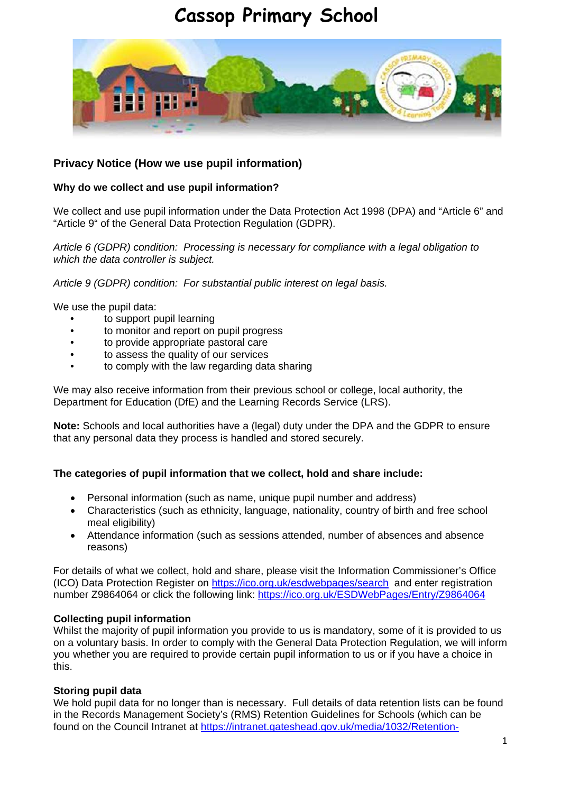# **Cassop Primary School**



# **Privacy Notice (How we use pupil information)**

## **Why do we collect and use pupil information?**

We collect and use pupil information under the Data Protection Act 1998 (DPA) and "Article 6" and "Article 9" of the General Data Protection Regulation (GDPR).

*Article 6 (GDPR) condition: Processing is necessary for compliance with a legal obligation to which the data controller is subject.*

*Article 9 (GDPR) condition: For substantial public interest on legal basis.*

We use the pupil data:

- to support pupil learning
- to monitor and report on pupil progress
- to provide appropriate pastoral care
- to assess the quality of our services
- to comply with the law regarding data sharing

We may also receive information from their previous school or college, local authority, the Department for Education (DfE) and the Learning Records Service (LRS).

**Note:** Schools and local authorities have a (legal) duty under the DPA and the GDPR to ensure that any personal data they process is handled and stored securely.

#### **The categories of pupil information that we collect, hold and share include:**

- Personal information (such as name, unique pupil number and address)
- Characteristics (such as ethnicity, language, nationality, country of birth and free school meal eligibility)
- Attendance information (such as sessions attended, number of absences and absence reasons)

For details of what we collect, hold and share, please visit the Information Commissioner's Office (ICO) Data Protection Register on<https://ico.org.uk/esdwebpages/search> and enter registration number Z9864064 or click the following link:<https://ico.org.uk/ESDWebPages/Entry/Z9864064>

#### **Collecting pupil information**

Whilst the majority of pupil information you provide to us is mandatory, some of it is provided to us on a voluntary basis. In order to comply with the General Data Protection Regulation, we will inform you whether you are required to provide certain pupil information to us or if you have a choice in this.

#### **Storing pupil data**

We hold pupil data for no longer than is necessary. Full details of data retention lists can be found in the Records Management Society's (RMS) Retention Guidelines for Schools (which can be found on the Council Intranet at [https://intranet.gateshead.gov.uk/media/1032/Retention-](https://intranet.gateshead.gov.uk/media/1032/Retention-guidelines-for-schools/pdf/schoolsretentionschedulefinal.pdf)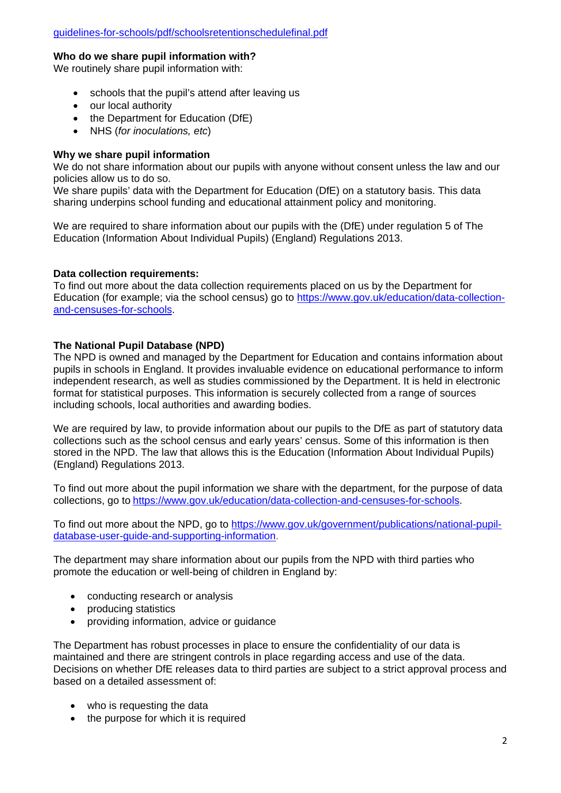#### **Who do we share pupil information with?**

We routinely share pupil information with:

- schools that the pupil's attend after leaving us
- our local authority
- the Department for Education (DfE)
- NHS (*for inoculations, etc*)

#### **Why we share pupil information**

We do not share information about our pupils with anyone without consent unless the law and our policies allow us to do so.

We share pupils' data with the Department for Education (DfE) on a statutory basis. This data sharing underpins school funding and educational attainment policy and monitoring.

We are required to share information about our pupils with the (DfE) under requiation 5 of The Education (Information About Individual Pupils) (England) Regulations 2013.

#### **Data collection requirements:**

To find out more about the data collection requirements placed on us by the Department for Education (for example; via the school census) go to [https://www.gov.uk/education/data-collection](https://www.gov.uk/education/data-collection-and-censuses-for-schools)[and-censuses-for-schools.](https://www.gov.uk/education/data-collection-and-censuses-for-schools)

#### **The National Pupil Database (NPD)**

The NPD is owned and managed by the Department for Education and contains information about pupils in schools in England. It provides invaluable evidence on educational performance to inform independent research, as well as studies commissioned by the Department. It is held in electronic format for statistical purposes. This information is securely collected from a range of sources including schools, local authorities and awarding bodies.

We are required by law, to provide information about our pupils to the DfE as part of statutory data collections such as the school census and early years' census. Some of this information is then stored in the NPD. The law that allows this is the Education (Information About Individual Pupils) (England) Regulations 2013.

To find out more about the pupil information we share with the department, for the purpose of data collections, go to [https://www.gov.uk/education/data-collection-and-censuses-for-schools.](https://www.gov.uk/education/data-collection-and-censuses-for-schools)

To find out more about the NPD, go to [https://www.gov.uk/government/publications/national-pupil](https://www.gov.uk/government/publications/national-pupil-database-user-guide-and-supporting-information)[database-user-guide-and-supporting-information.](https://www.gov.uk/government/publications/national-pupil-database-user-guide-and-supporting-information)

The department may share information about our pupils from the NPD with third parties who promote the education or well-being of children in England by:

- conducting research or analysis
- producing statistics
- providing information, advice or guidance

The Department has robust processes in place to ensure the confidentiality of our data is maintained and there are stringent controls in place regarding access and use of the data. Decisions on whether DfE releases data to third parties are subject to a strict approval process and based on a detailed assessment of:

- who is requesting the data
- the purpose for which it is required